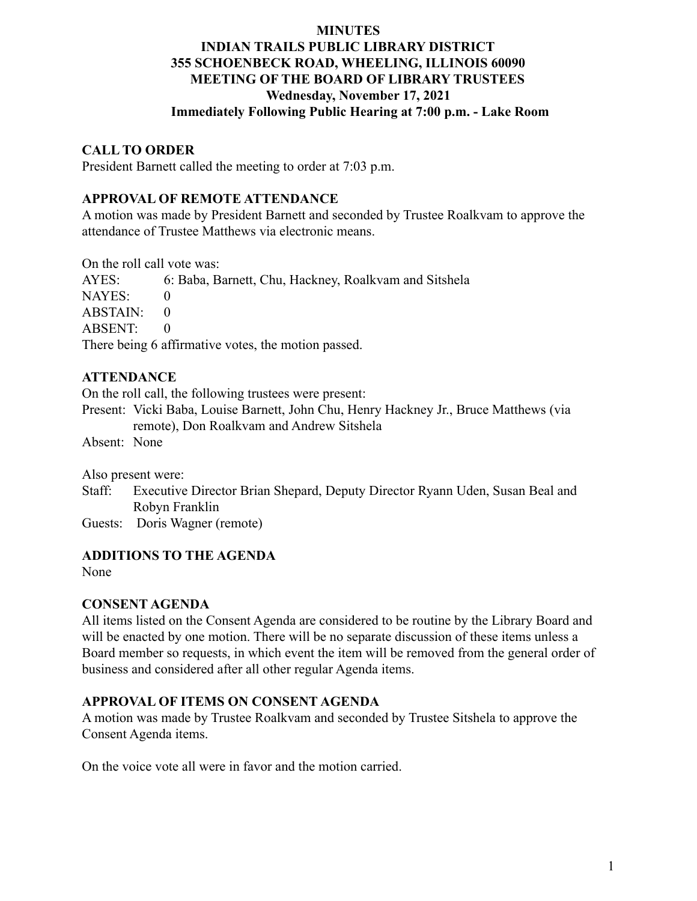# **INDIAN TRAILS PUBLIC LIBRARY DISTRICT 355 SCHOENBECK ROAD, WHEELING, ILLINOIS 60090 MEETING OF THE BOARD OF LIBRARY TRUSTEES Wednesday, November 17, 2021 Immediately Following Public Hearing at 7:00 p.m. - Lake Room**

#### **CALL TO ORDER**

President Barnett called the meeting to order at 7:03 p.m.

#### **APPROVAL OF REMOTE ATTENDANCE**

A motion was made by President Barnett and seconded by Trustee Roalkvam to approve the attendance of Trustee Matthews via electronic means.

On the roll call vote was:

AYES: 6: Baba, Barnett, Chu, Hackney, Roalkvam and Sitshela NAYES: 0  $ABSTAIN: 0$ ABSENT: 0 There being 6 affirmative votes, the motion passed.

#### **ATTENDANCE**

On the roll call, the following trustees were present:

Present: Vicki Baba, Louise Barnett, John Chu, Henry Hackney Jr., Bruce Matthews (via remote), Don Roalkvam and Andrew Sitshela

Absent: None

Also present were:

Staff: Executive Director Brian Shepard, Deputy Director Ryann Uden, Susan Beal and Robyn Franklin

Guests: Doris Wagner (remote)

#### **ADDITIONS TO THE AGENDA**

None

#### **CONSENT AGENDA**

All items listed on the Consent Agenda are considered to be routine by the Library Board and will be enacted by one motion. There will be no separate discussion of these items unless a Board member so requests, in which event the item will be removed from the general order of business and considered after all other regular Agenda items.

#### **APPROVAL OF ITEMS ON CONSENT AGENDA**

A motion was made by Trustee Roalkvam and seconded by Trustee Sitshela to approve the Consent Agenda items.

On the voice vote all were in favor and the motion carried.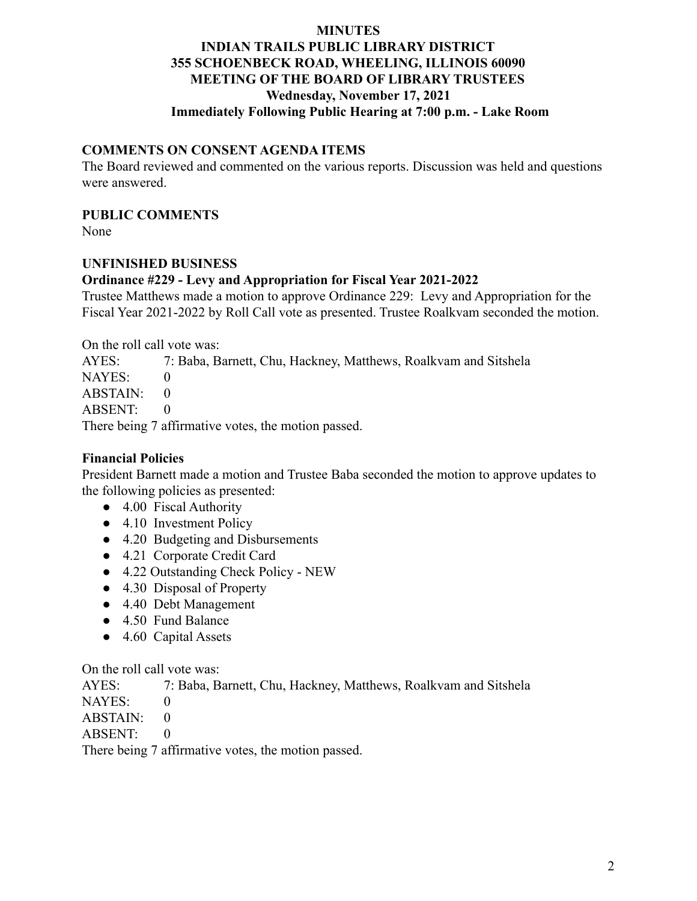# **INDIAN TRAILS PUBLIC LIBRARY DISTRICT 355 SCHOENBECK ROAD, WHEELING, ILLINOIS 60090 MEETING OF THE BOARD OF LIBRARY TRUSTEES Wednesday, November 17, 2021 Immediately Following Public Hearing at 7:00 p.m. - Lake Room**

#### **COMMENTS ON CONSENT AGENDA ITEMS**

The Board reviewed and commented on the various reports. Discussion was held and questions were answered.

#### **PUBLIC COMMENTS**

None

#### **UNFINISHED BUSINESS**

#### **Ordinance #229 - Levy and Appropriation for Fiscal Year 2021-2022**

Trustee Matthews made a motion to approve Ordinance 229: Levy and Appropriation for the Fiscal Year 2021-2022 by Roll Call vote as presented. Trustee Roalkvam seconded the motion.

On the roll call vote was:

AYES: 7: Baba, Barnett, Chu, Hackney, Matthews, Roalkvam and Sitshela NAYES: 0  $ABSTAIN: 0$ ABSENT: 0 There being 7 affirmative votes, the motion passed.

#### **Financial Policies**

President Barnett made a motion and Trustee Baba seconded the motion to approve updates to the following policies as presented:

- 4.00 Fiscal Authority
- 4.10 Investment Policy
- 4.20 Budgeting and Disbursements
- 4.21 Corporate Credit Card
- 4.22 Outstanding Check Policy NEW
- 4.30 Disposal of Property
- 4.40 Debt Management
- 4.50 Fund Balance
- 4.60 Capital Assets

On the roll call vote was:

AYES: 7: Baba, Barnett, Chu, Hackney, Matthews, Roalkvam and Sitshela

NAYES: 0

 $ABSTAIN: 0$ 

ABSENT: 0

There being 7 affirmative votes, the motion passed.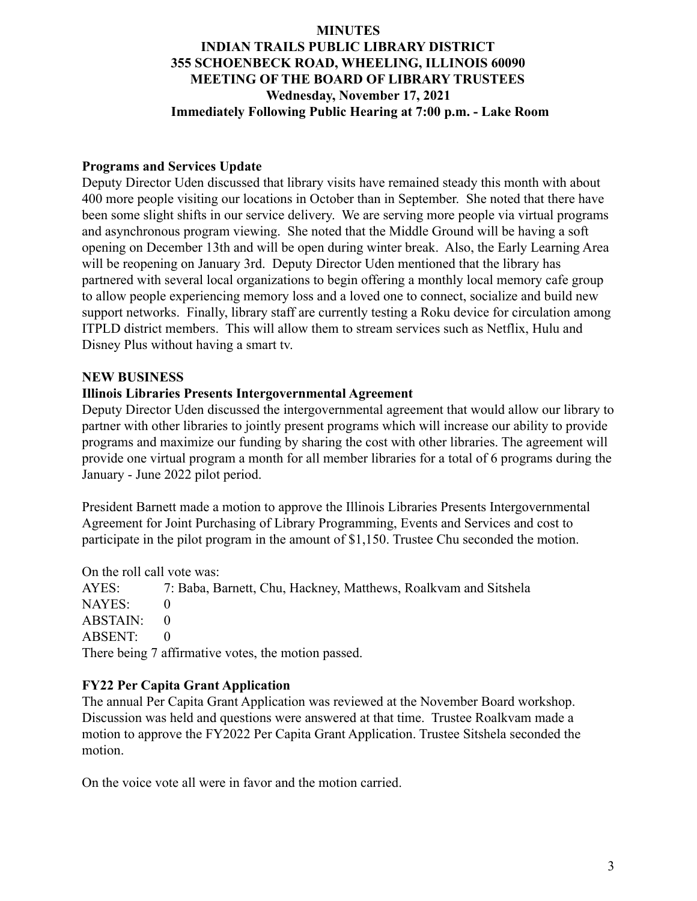# **INDIAN TRAILS PUBLIC LIBRARY DISTRICT 355 SCHOENBECK ROAD, WHEELING, ILLINOIS 60090 MEETING OF THE BOARD OF LIBRARY TRUSTEES Wednesday, November 17, 2021 Immediately Following Public Hearing at 7:00 p.m. - Lake Room**

#### **Programs and Services Update**

Deputy Director Uden discussed that library visits have remained steady this month with about 400 more people visiting our locations in October than in September. She noted that there have been some slight shifts in our service delivery. We are serving more people via virtual programs and asynchronous program viewing. She noted that the Middle Ground will be having a soft opening on December 13th and will be open during winter break. Also, the Early Learning Area will be reopening on January 3rd. Deputy Director Uden mentioned that the library has partnered with several local organizations to begin offering a monthly local memory cafe group to allow people experiencing memory loss and a loved one to connect, socialize and build new support networks. Finally, library staff are currently testing a Roku device for circulation among ITPLD district members. This will allow them to stream services such as Netflix, Hulu and Disney Plus without having a smart tv.

#### **NEW BUSINESS**

#### **Illinois Libraries Presents Intergovernmental Agreement**

Deputy Director Uden discussed the intergovernmental agreement that would allow our library to partner with other libraries to jointly present programs which will increase our ability to provide programs and maximize our funding by sharing the cost with other libraries. The agreement will provide one virtual program a month for all member libraries for a total of 6 programs during the January - June 2022 pilot period.

President Barnett made a motion to approve the Illinois Libraries Presents Intergovernmental Agreement for Joint Purchasing of Library Programming, Events and Services and cost to participate in the pilot program in the amount of \$1,150. Trustee Chu seconded the motion.

On the roll call vote was:

AYES: 7: Baba, Barnett, Chu, Hackney, Matthews, Roalkvam and Sitshela NAYES: 0 ABSTAIN: 0 ABSENT: 0 There being 7 affirmative votes, the motion passed.

## **FY22 Per Capita Grant Application**

The annual Per Capita Grant Application was reviewed at the November Board workshop. Discussion was held and questions were answered at that time. Trustee Roalkvam made a motion to approve the FY2022 Per Capita Grant Application. Trustee Sitshela seconded the motion.

On the voice vote all were in favor and the motion carried.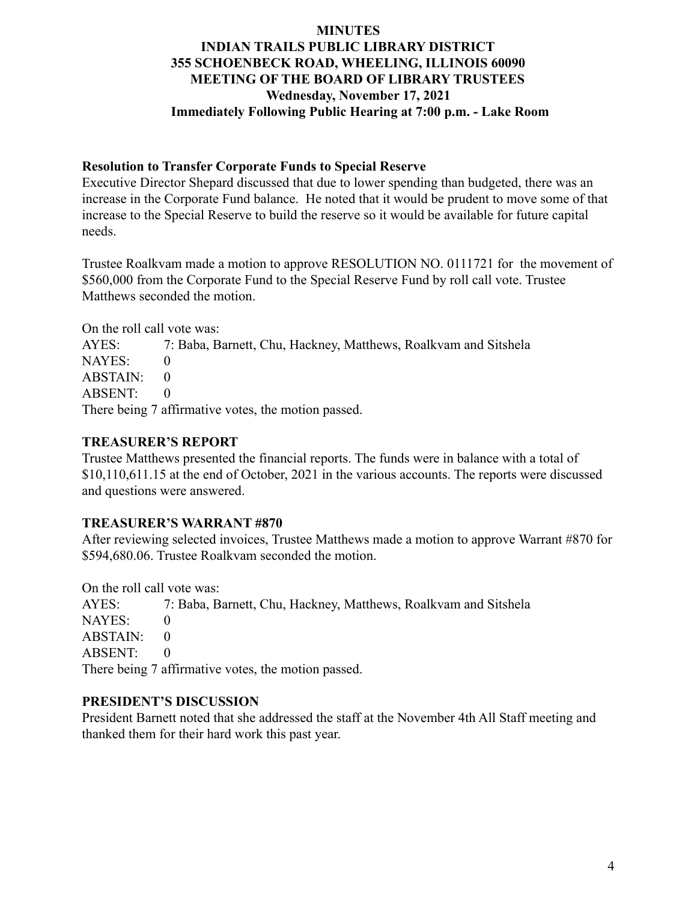# **INDIAN TRAILS PUBLIC LIBRARY DISTRICT 355 SCHOENBECK ROAD, WHEELING, ILLINOIS 60090 MEETING OF THE BOARD OF LIBRARY TRUSTEES Wednesday, November 17, 2021 Immediately Following Public Hearing at 7:00 p.m. - Lake Room**

#### **Resolution to Transfer Corporate Funds to Special Reserve**

Executive Director Shepard discussed that due to lower spending than budgeted, there was an increase in the Corporate Fund balance. He noted that it would be prudent to move some of that increase to the Special Reserve to build the reserve so it would be available for future capital needs.

Trustee Roalkvam made a motion to approve RESOLUTION NO. 0111721 for the movement of \$560,000 from the Corporate Fund to the Special Reserve Fund by roll call vote. Trustee Matthews seconded the motion.

On the roll call vote was:

AYES: 7: Baba, Barnett, Chu, Hackney, Matthews, Roalkvam and Sitshela NAYES: 0  $ABSTAIN: 0$ ABSENT: 0 There being 7 affirmative votes, the motion passed.

## **TREASURER'S REPORT**

Trustee Matthews presented the financial reports. The funds were in balance with a total of \$10,110,611.15 at the end of October, 2021 in the various accounts. The reports were discussed and questions were answered.

## **TREASURER'S WARRANT #870**

After reviewing selected invoices, Trustee Matthews made a motion to approve Warrant #870 for \$594,680.06. Trustee Roalkvam seconded the motion.

On the roll call vote was:

AYES: 7: Baba, Barnett, Chu, Hackney, Matthews, Roalkvam and Sitshela NAYES: 0  $ABSTAIN: 0$ ABSENT: 0 There being 7 affirmative votes, the motion passed.

## **PRESIDENT'S DISCUSSION**

President Barnett noted that she addressed the staff at the November 4th All Staff meeting and thanked them for their hard work this past year.